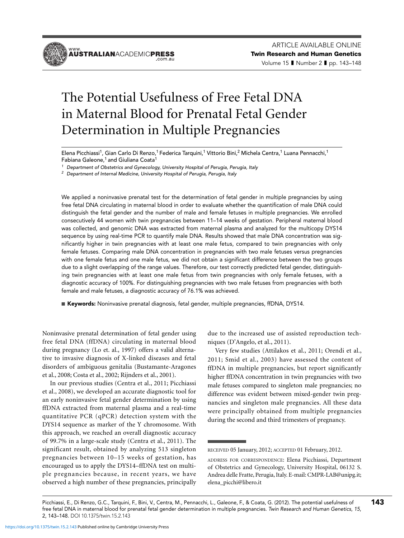**ÄÜSTRALIAN**ACADEMIC**PRESS** 

# The Potential Usefulness of Free Fetal DNA in Maternal Blood for Prenatal Fetal Gender Determination in Multiple Pregnancies

Elena Picchiassi<sup>1</sup>, Gian Carlo Di Renzo,<sup>1</sup> Federica Tarquini,<sup>1</sup> Vittorio Bini,<sup>2</sup> Michela Centra,<sup>1</sup> Luana Pennacchi,<sup>1</sup> Fabiana Galeone,<sup>1</sup> and Giuliana Coata<sup>1</sup>

<sup>1</sup> Department of Obstetrics and Gynecology, University Hospital of Perugia, Perugia, Italy

 $2$  Department of Internal Medicine, University Hospital of Perugia, Perugia, Italy

We applied a noninvasive prenatal test for the determination of fetal gender in multiple pregnancies by using free fetal DNA circulating in maternal blood in order to evaluate whether the quantification of male DNA could distinguish the fetal gender and the number of male and female fetuses in multiple pregnancies. We enrolled consecutively 44 women with twin pregnancies between 11–14 weeks of gestation. Peripheral maternal blood was collected, and genomic DNA was extracted from maternal plasma and analyzed for the multicopy DYS14 sequence by using real-time PCR to quantify male DNA. Results showed that male DNA concentration was significantly higher in twin pregnancies with at least one male fetus, compared to twin pregnancies with only female fetuses. Comparing male DNA concentration in pregnancies with two male fetuses versus pregnancies with one female fetus and one male fetus, we did not obtain a significant difference between the two groups due to a slight overlapping of the range values. Therefore, our test correctly predicted fetal gender, distinguishing twin pregnancies with at least one male fetus from twin pregnancies with only female fetuses, with a diagnostic accuracy of 100%. For distinguishing pregnancies with two male fetuses from pregnancies with both female and male fetuses, a diagnostic accuracy of 76.1% was achieved.

■ Keywords: Noninvasive prenatal diagnosis, fetal gender, multiple pregnancies, ffDNA, DYS14.

Noninvasive prenatal determination of fetal gender using free fetal DNA (ffDNA) circulating in maternal blood during pregnancy (Lo et. al., 1997) offers a valid alternative to invasive diagnosis of X-linked diseases and fetal disorders of ambiguous genitalia (Bustamante-Aragones et al., 2008; Costa et al., 2002; Rijnders et al., 2001).

In our previous studies (Centra et al., 2011; Picchiassi et al., 2008), we developed an accurate diagnostic tool for an early noninvasive fetal gender determination by using ffDNA extracted from maternal plasma and a real-time quantitative PCR (qPCR) detection system with the DYS14 sequence as marker of the Y chromosome. With this approach, we reached an overall diagnostic accuracy of 99.7% in a large-scale study (Centra et al., 2011). The significant result, obtained by analyzing 513 singleton pregnancies between 10–15 weeks of gestation, has encouraged us to apply the DYS14–ffDNA test on multiple pregnancies because, in recent years, we have observed a high number of these pregnancies, principally due to the increased use of assisted reproduction techniques (D'Angelo, et al., 2011).

Very few studies (Attilakos et al., 2011; Orendi et al., 2011; Smid et al., 2003) have assessed the content of ffDNA in multiple pregnancies, but report significantly higher ffDNA concentration in twin pregnancies with two male fetuses compared to singleton male pregnancies; no difference was evident between mixed-gender twin pregnancies and singleton male pregnancies. All these data were principally obtained from multiple pregnancies during the second and third trimesters of pregnancy.

Picchiassi, E., Di Renzo, G.C., Tarquini, F., Bini, V., Centra, M., Pennacchi, L., Galeone, F., & Coata, G. (2012). The potential usefulness of **143** free fetal DNA in maternal blood for prenatal fetal gender determination in multiple pregnancies. Twin Research and Human Genetics, 15, 2, 143–148. DOI 10.1375/twin.15.2.143

RECEIVED 05 January, 2012; ACCEPTED 01 February, 2012.

ADDRESS FOR CORRESPONDENCE: Elena Picchiassi, Department of Obstetrics and Gynecology, University Hospital, 06132 S. Andrea delle Fratte, Perugia, Italy. E-mail: CMPR-LAB@unipg.it; elena\_picchi@libero.it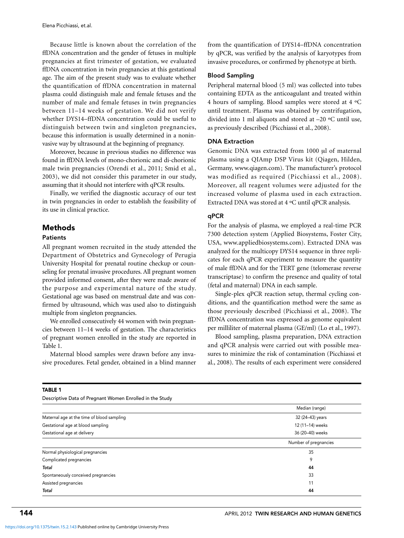Because little is known about the correlation of the ffDNA concentration and the gender of fetuses in multiple pregnancies at first trimester of gestation, we evaluated ffDNA concentration in twin pregnancies at this gestational age. The aim of the present study was to evaluate whether the quantification of ffDNA concentration in maternal plasma could distinguish male and female fetuses and the number of male and female fetuses in twin pregnancies between 11–14 weeks of gestation. We did not verify whether DYS14–ffDNA concentration could be useful to distinguish between twin and singleton pregnancies, because this information is usually determined in a noninvasive way by ultrasound at the beginning of pregnancy.

Moreover, because in previous studies no difference was found in ffDNA levels of mono-chorionic and di-chorionic male twin pregnancies (Orendi et al., 2011; Smid et al., 2003), we did not consider this parameter in our study, assuming that it should not interfere with qPCR results.

Finally, we verified the diagnostic accuracy of our test in twin pregnancies in order to establish the feasibility of its use in clinical practice.

# Methods

#### Patients

All pregnant women recruited in the study attended the Department of Obstetrics and Gynecology of Perugia University Hospital for prenatal routine checkup or counseling for prenatal invasive procedures. All pregnant women provided informed consent, after they were made aware of the purpose and experimental nature of the study. Gestational age was based on menstrual date and was confirmed by ultrasound, which was used also to distinguish multiple from singleton pregnancies.

We enrolled consecutively 44 women with twin pregnancies between 11–14 weeks of gestation. The characteristics of pregnant women enrolled in the study are reported in Table 1.

Maternal blood samples were drawn before any invasive procedures. Fetal gender, obtained in a blind manner from the quantification of DYS14–ffDNA concentration by qPCR, was verified by the analysis of karyotypes from invasive procedures, or confirmed by phenotype at birth.

## Blood Sampling

Peripheral maternal blood (5 ml) was collected into tubes containing EDTA as the anticoagulant and treated within 4 hours of sampling. Blood samples were stored at 4 ºC until treatment. Plasma was obtained by centrifugation, divided into 1 ml aliquots and stored at –20 ºC until use, as previously described (Picchiassi et al., 2008).

### DNA Extraction

Genomic DNA was extracted from 1000 μl of maternal plasma using a QIAmp DSP Virus kit (Qiagen, Hilden, Germany, www.qiagen.com). The manufacturer's protocol was modified as required (Picchiassi et al., 2008). Moreover, all reagent volumes were adjusted for the increased volume of plasma used in each extraction. Extracted DNA was stored at 4 ºC until qPCR analysis.

#### qPCR

For the analysis of plasma, we employed a real-time PCR 7300 detection system (Applied Biosystems, Foster City, USA, www.appliedbiosystems.com). Extracted DNA was analyzed for the multicopy DYS14 sequence in three replicates for each qPCR experiment to measure the quantity of male ffDNA and for the TERT gene (telomerase reverse transcriptase) to confirm the presence and quality of total (fetal and maternal) DNA in each sample.

Single-plex qPCR reaction setup, thermal cycling conditions, and the quantification method were the same as those previously described (Picchiassi et al., 2008). The ffDNA concentration was expressed as genome equivalent per milliliter of maternal plasma (GE/ml) (Lo et al., 1997).

Blood sampling, plasma preparation, DNA extraction and qPCR analysis were carried out with possible measures to minimize the risk of contamination (Picchiassi et al., 2008). The results of each experiment were considered

| Descriptive Data of Pregnant Women Enrolled in the Study |                       |  |
|----------------------------------------------------------|-----------------------|--|
|                                                          | Median (range)        |  |
| Maternal age at the time of blood sampling               | 32 (24-43) years      |  |
| Gestational age at blood sampling                        | 12 (11-14) weeks      |  |
| Gestational age at delivery                              | 36 (20-40) weeks      |  |
|                                                          | Number of pregnancies |  |
| Normal physiological pregnancies                         | 35                    |  |
| Complicated pregnancies                                  | 9                     |  |
| Total                                                    | 44                    |  |
| Spontaneously conceived pregnancies                      | 33                    |  |
| Assisted pregnancies                                     | 11                    |  |
| Total                                                    | 44                    |  |

#### TABLE 1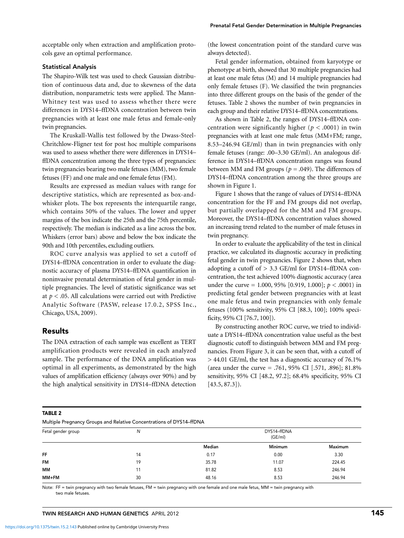acceptable only when extraction and amplification protocols gave an optimal performance.

## Statistical Analysis

The Shapiro-Wilk test was used to check Gaussian distribution of continuous data and, due to skewness of the data distribution, nonparametric tests were applied. The Mann-Whitney test was used to assess whether there were differences in DYS14–ffDNA concentration between twin pregnancies with at least one male fetus and female-only twin pregnancies.

The Kruskall-Wallis test followed by the Dwass-Steel-Chritchlow-Fligner test for post hoc multiple comparisons was used to assess whether there were differences in DYS14– ffDNA concentration among the three types of pregnancies: twin pregnancies bearing two male fetuses (MM), two female fetuses (FF) and one male and one female fetus (FM).

Results are expressed as median values with range for descriptive statistics, which are represented as box-andwhisker plots. The box represents the interquartile range, which contains 50% of the values. The lower and upper margins of the box indicate the 25th and the 75th percentile, respectively. The median is indicated as a line across the box. Whiskers (error bars) above and below the box indicate the 90th and 10th percentiles, excluding outliers.

ROC curve analysis was applied to set a cutoff of DYS14–ffDNA concentration in order to evaluate the diagnostic accuracy of plasma DYS14–ffDNA quantification in noninvasive prenatal determination of fetal gender in multiple pregnancies. The level of statistic significance was set at *p <* .05. All calculations were carried out with Predictive Analytic Software (PASW, release 17.0.2, SPSS Inc., Chicago, USA, 2009).

# Results

The DNA extraction of each sample was excellent as TERT amplification products were revealed in each analyzed sample. The performance of the DNA amplification was optimal in all experiments, as demonstrated by the high values of amplification efficiency (always over 90%) and by the high analytical sensitivity in DYS14–ffDNA detection

(the lowest concentration point of the standard curve was always detected).

Fetal gender information, obtained from karyotype or phenotype at birth, showed that 30 multiple pregnancies had at least one male fetus (M) and 14 multiple pregnancies had only female fetuses (F). We classified the twin pregnancies into three different groups on the basis of the gender of the fetuses. Table 2 shows the number of twin pregnancies in each group and their relative DYS14–ffDNA concentrations.

As shown in Table 2, the ranges of DYS14–ffDNA concentration were significantly higher ( $p < .0001$ ) in twin pregnancies with at least one male fetus (MM+FM; range, 8.53–246.94 GE/ml) than in twin pregnancies with only female fetuses (range: .00–3.30 GE/ml). An analogous difference in DYS14–ffDNA concentration ranges was found between MM and FM groups (*p =* .049). The differences of DYS14–ffDNA concentration among the three groups are shown in Figure 1.

Figure 1 shows that the range of values of DYS14–ffDNA concentration for the FF and FM groups did not overlap, but partially overlapped for the MM and FM groups. Moreover, the DYS14–ffDNA concentration values showed an increasing trend related to the number of male fetuses in twin pregnancy.

In order to evaluate the applicability of the test in clinical practice, we calculated its diagnostic accuracy in predicting fetal gender in twin pregnancies. Figure 2 shows that, when adopting a cutoff of  $> 3.3$  GE/ml for DYS14–ffDNA concentration, the test achieved 100% diagnostic accuracy (area under the curve = 1.000, 95% [0.919, 1.000]; *p <* .0001) in predicting fetal gender between pregnancies with at least one male fetus and twin pregnancies with only female fetuses (100% sensitivity, 95% CI [88.3, 100]; 100% specificity, 95% CI [76.7, 100]).

By constructing another ROC curve, we tried to individuate a DYS14–ffDNA concentration value useful as the best diagnostic cutoff to distinguish between MM and FM pregnancies. From Figure 3, it can be seen that, with a cutoff of > 44.01 GE/ml, the test has a diagnostic accuracy of 76.1% (area under the curve = .761, 95% CI [.571, .896]; 81.8% sensitivity, 95% CI [48.2, 97.2]; 68.4% specificity, 95% CI  $[43.5, 87.3]$ .

Multiple Pregnancy Groups and Relative Concentrations of DYS14–ffDNA

| $\ldots$               |         |         |  |  |  |
|------------------------|---------|---------|--|--|--|
| DYS14-ffDNA<br>(GE/ml) |         |         |  |  |  |
| Median                 | Minimum | Maximum |  |  |  |
| 0.17                   | 0.00    | 3.30    |  |  |  |
| 35.78                  | 11.07   | 224.45  |  |  |  |
| 81.82                  | 8.53    | 246.94  |  |  |  |
| 48.16                  | 8.53    | 246.94  |  |  |  |
|                        |         |         |  |  |  |

Note: FF = twin pregnancy with two female fetuses, FM = twin pregnancy with one female and one male fetus, MM = twin pregnancy with two male fetuses.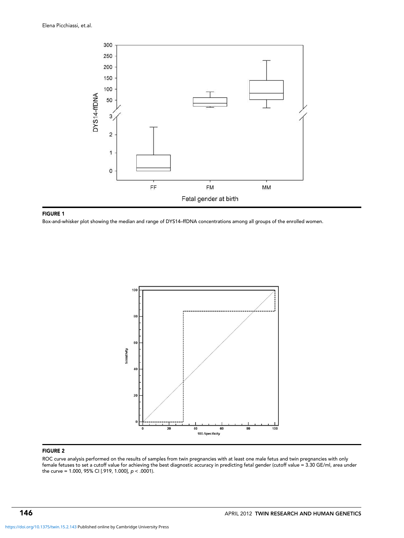

#### FIGURE 1

Box-and-whisker plot showing the median and range of DYS14–ffDNA concentrations among all groups of the enrolled women.



## FIGURE 2

ROC curve analysis performed on the results of samples from twin pregnancies with at least one male fetus and twin pregnancies with only female fetuses to set a cutoff value for achieving the best diagnostic accuracy in predicting fetal gender (cutoff value = 3.30 GE/ml, area under the curve = 1.000, 95% CI [.919, 1.000],  $p < .0001$ ).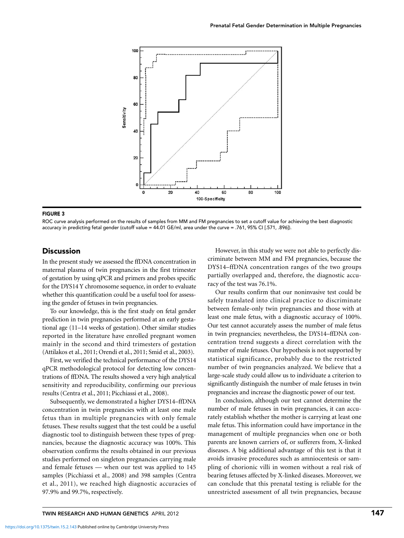

#### FIGURE 3

ROC curve analysis performed on the results of samples from MM and FM pregnancies to set a cutoff value for achieving the best diagnostic accuracy in predicting fetal gender (cutoff value = 44.01 GE/ml, area under the curve = .761, 95% CI [.571, .896]).

# **Discussion**

In the present study we assessed the ffDNA concentration in maternal plasma of twin pregnancies in the first trimester of gestation by using qPCR and primers and probes specific for the DYS14 Y chromosome sequence, in order to evaluate whether this quantification could be a useful tool for assessing the gender of fetuses in twin pregnancies.

To our knowledge, this is the first study on fetal gender prediction in twin pregnancies performed at an early gestational age (11–14 weeks of gestation). Other similar studies reported in the literature have enrolled pregnant women mainly in the second and third trimesters of gestation (Attilakos et al., 2011; Orendi et al., 2011; Smid et al., 2003).

First, we verified the technical performance of the DYS14 qPCR methodological protocol for detecting low concentrations of ffDNA. The results showed a very high analytical sensitivity and reproducibility, confirming our previous results (Centra et al., 2011; Picchiassi et al., 2008).

Subsequently, we demonstrated a higher DYS14–ffDNA concentration in twin pregnancies with at least one male fetus than in multiple pregnancies with only female fetuses. These results suggest that the test could be a useful diagnostic tool to distinguish between these types of pregnancies, because the diagnostic accuracy was 100%. This observation confirms the results obtained in our previous studies performed on singleton pregnancies carrying male and female fetuses — when our test was applied to 145 samples (Picchiassi et al., 2008) and 398 samples (Centra et al., 2011), we reached high diagnostic accuracies of 97.9% and 99.7%, respectively.

However, in this study we were not able to perfectly discriminate between MM and FM pregnancies, because the DYS14–ffDNA concentration ranges of the two groups partially overlapped and, therefore, the diagnostic accuracy of the test was 76.1%.

Our results confirm that our noninvasive test could be safely translated into clinical practice to discriminate between female-only twin pregnancies and those with at least one male fetus, with a diagnostic accuracy of 100%. Our test cannot accurately assess the number of male fetus in twin pregnancies; nevertheless, the DYS14–ffDNA concentration trend suggests a direct correlation with the number of male fetuses. Our hypothesis is not supported by statistical significance, probably due to the restricted number of twin pregnancies analyzed. We believe that a large-scale study could allow us to individuate a criterion to significantly distinguish the number of male fetuses in twin pregnancies and increase the diagnostic power of our test.

In conclusion, although our test cannot determine the number of male fetuses in twin pregnancies, it can accurately establish whether the mother is carrying at least one male fetus. This information could have importance in the management of multiple pregnancies when one or both parents are known carriers of, or sufferers from, X-linked diseases. A big additional advantage of this test is that it avoids invasive procedures such as amniocentesis or sampling of chorionic villi in women without a real risk of bearing fetuses affected by X-linked diseases. Moreover, we can conclude that this prenatal testing is reliable for the unrestricted assessment of all twin pregnancies, because